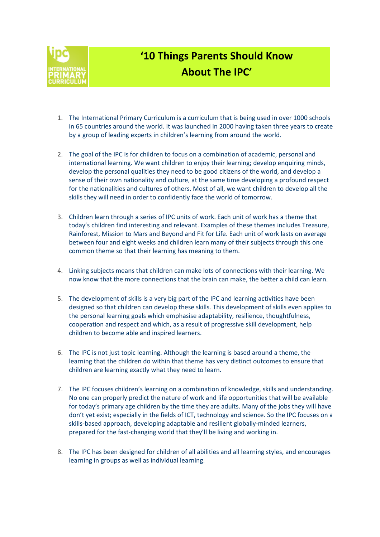

## '10 Things Parents Should Know About The IPC'

- 1. The International Primary Curriculum is a curriculum that is being used in over 1000 schools in 65 countries around the world. It was launched in 2000 having taken three years to create by a group of leading experts in children's learning from around the world.
- 2. The goal of the IPC is for children to focus on a combination of academic, personal and international learning. We want children to enjoy their learning; develop enquiring minds, develop the personal qualities they need to be good citizens of the world, and develop a sense of their own nationality and culture, at the same time developing a profound respect for the nationalities and cultures of others. Most of all, we want children to develop all the skills they will need in order to confidently face the world of tomorrow.
- 3. Children learn through a series of IPC units of work. Each unit of work has a theme that today's children find interesting and relevant. Examples of these themes includes Treasure, Rainforest, Mission to Mars and Beyond and Fit for Life. Each unit of work lasts on average between four and eight weeks and children learn many of their subjects through this one common theme so that their learning has meaning to them.
- 4. Linking subjects means that children can make lots of connections with their learning. We now know that the more connections that the brain can make, the better a child can learn.
- 5. The development of skills is a very big part of the IPC and learning activities have been designed so that children can develop these skills. This development of skills even applies to the personal learning goals which emphasise adaptability, resilience, thoughtfulness, cooperation and respect and which, as a result of progressive skill development, help children to become able and inspired learners.
- 6. The IPC is not just topic learning. Although the learning is based around a theme, the learning that the children do within that theme has very distinct outcomes to ensure that children are learning exactly what they need to learn.
- 7. The IPC focuses children's learning on a combination of knowledge, skills and understanding. No one can properly predict the nature of work and life opportunities that will be available for today's primary age children by the time they are adults. Many of the jobs they will have don't yet exist; especially in the fields of ICT, technology and science. So the IPC focuses on a skills-based approach, developing adaptable and resilient globally-minded learners, prepared for the fast-changing world that they'll be living and working in.
- 8. The IPC has been designed for children of all abilities and all learning styles, and encourages learning in groups as well as individual learning.